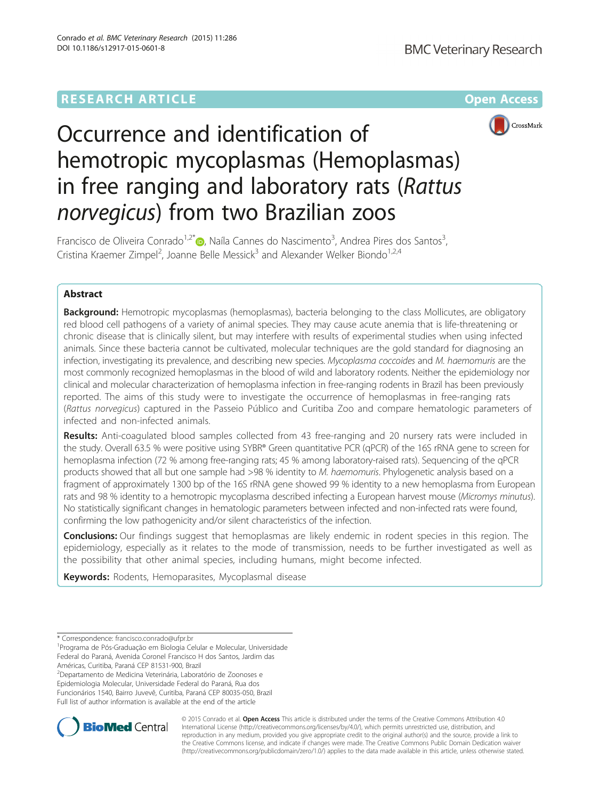# **RESEARCH ARTICLE External Structure of the Contract Open Access**



# Occurrence and identification of hemotropic mycoplasmas (Hemoplasmas) in free ranging and laboratory rats (Rattus norvegicus) from two Brazilian zoos

Francisco de Oliveira Conrado<sup>1,2[\\*](http://orcid.org/0000-0001-5055-2637)</sup> (**p**, Naíla Cannes do Nascimento<sup>3</sup>, Andrea Pires dos Santos<sup>3</sup> , Cristina Kraemer Zimpel<sup>2</sup>, Joanne Belle Messick<sup>3</sup> and Alexander Welker Biondo<sup>1,2,4</sup>

# Abstract

Background: Hemotropic mycoplasmas (hemoplasmas), bacteria belonging to the class Mollicutes, are obligatory red blood cell pathogens of a variety of animal species. They may cause acute anemia that is life-threatening or chronic disease that is clinically silent, but may interfere with results of experimental studies when using infected animals. Since these bacteria cannot be cultivated, molecular techniques are the gold standard for diagnosing an infection, investigating its prevalence, and describing new species. Mycoplasma coccoides and M. haemomuris are the most commonly recognized hemoplasmas in the blood of wild and laboratory rodents. Neither the epidemiology nor clinical and molecular characterization of hemoplasma infection in free-ranging rodents in Brazil has been previously reported. The aims of this study were to investigate the occurrence of hemoplasmas in free-ranging rats (Rattus norvegicus) captured in the Passeio Público and Curitiba Zoo and compare hematologic parameters of infected and non-infected animals.

Results: Anti-coagulated blood samples collected from 43 free-ranging and 20 nursery rats were included in the study. Overall 63.5 % were positive using SYBR® Green quantitative PCR (qPCR) of the 16S rRNA gene to screen for hemoplasma infection (72 % among free-ranging rats; 45 % among laboratory-raised rats). Sequencing of the qPCR products showed that all but one sample had >98 % identity to M. haemomuris. Phylogenetic analysis based on a fragment of approximately 1300 bp of the 16S rRNA gene showed 99 % identity to a new hemoplasma from European rats and 98 % identity to a hemotropic mycoplasma described infecting a European harvest mouse (Micromys minutus). No statistically significant changes in hematologic parameters between infected and non-infected rats were found, confirming the low pathogenicity and/or silent characteristics of the infection.

**Conclusions:** Our findings suggest that hemoplasmas are likely endemic in rodent species in this region. The epidemiology, especially as it relates to the mode of transmission, needs to be further investigated as well as the possibility that other animal species, including humans, might become infected.

Keywords: Rodents, Hemoparasites, Mycoplasmal disease

Américas, Curitiba, Paraná CEP 81531-900, Brazil

2 Departamento de Medicina Veterinária, Laboratório de Zoonoses e Epidemiologia Molecular, Universidade Federal do Paraná, Rua dos Funcionários 1540, Bairro Juvevê, Curitiba, Paraná CEP 80035-050, Brazil Full list of author information is available at the end of the article



© 2015 Conrado et al. Open Access This article is distributed under the terms of the Creative Commons Attribution 4.0 International License [\(http://creativecommons.org/licenses/by/4.0/](http://creativecommons.org/licenses/by/4.0/)), which permits unrestricted use, distribution, and reproduction in any medium, provided you give appropriate credit to the original author(s) and the source, provide a link to the Creative Commons license, and indicate if changes were made. The Creative Commons Public Domain Dedication waiver [\(http://creativecommons.org/publicdomain/zero/1.0/](http://creativecommons.org/publicdomain/zero/1.0/)) applies to the data made available in this article, unless otherwise stated.

<sup>\*</sup> Correspondence: [francisco.conrado@ufpr.br](mailto:francisco.conrado@ufpr.br) <sup>1</sup>

<sup>&</sup>lt;sup>1</sup> Programa de Pós-Graduação em Biologia Celular e Molecular, Universidade Federal do Paraná, Avenida Coronel Francisco H dos Santos, Jardim das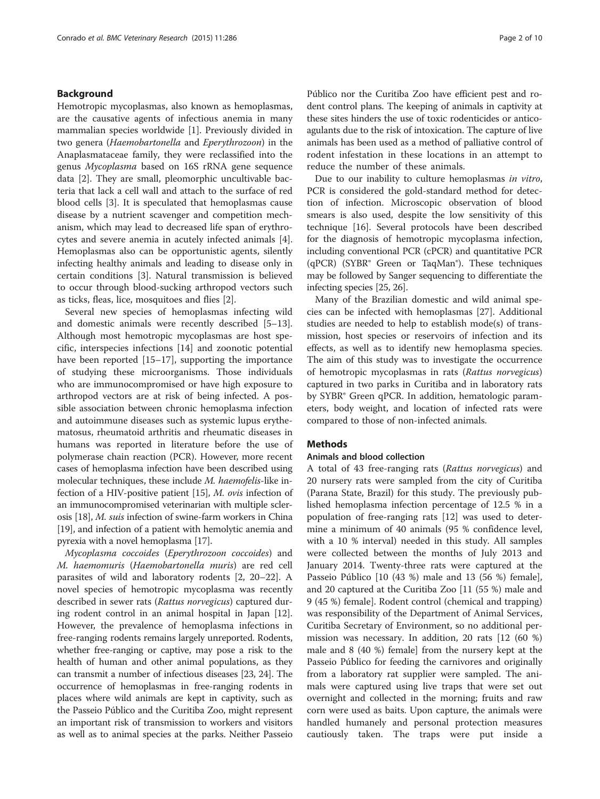## Background

Hemotropic mycoplasmas, also known as hemoplasmas, are the causative agents of infectious anemia in many mammalian species worldwide [[1\]](#page-8-0). Previously divided in two genera (Haemobartonella and Eperythrozoon) in the Anaplasmataceae family, they were reclassified into the genus Mycoplasma based on 16S rRNA gene sequence data [[2\]](#page-8-0). They are small, pleomorphic uncultivable bacteria that lack a cell wall and attach to the surface of red blood cells [\[3](#page-8-0)]. It is speculated that hemoplasmas cause disease by a nutrient scavenger and competition mechanism, which may lead to decreased life span of erythrocytes and severe anemia in acutely infected animals [\[4](#page-8-0)]. Hemoplasmas also can be opportunistic agents, silently infecting healthy animals and leading to disease only in certain conditions [[3\]](#page-8-0). Natural transmission is believed to occur through blood-sucking arthropod vectors such as ticks, fleas, lice, mosquitoes and flies [\[2](#page-8-0)].

Several new species of hemoplasmas infecting wild and domestic animals were recently described [[5](#page-8-0)–[13](#page-8-0)]. Although most hemotropic mycoplasmas are host specific, interspecies infections [[14\]](#page-8-0) and zoonotic potential have been reported [\[15](#page-8-0)–[17\]](#page-8-0), supporting the importance of studying these microorganisms. Those individuals who are immunocompromised or have high exposure to arthropod vectors are at risk of being infected. A possible association between chronic hemoplasma infection and autoimmune diseases such as systemic lupus erythematosus, rheumatoid arthritis and rheumatic diseases in humans was reported in literature before the use of polymerase chain reaction (PCR). However, more recent cases of hemoplasma infection have been described using molecular techniques, these include M. haemofelis-like infection of a HIV-positive patient [[15\]](#page-8-0), M. ovis infection of an immunocompromised veterinarian with multiple sclerosis [\[18\]](#page-8-0), M. suis infection of swine-farm workers in China [[19](#page-8-0)], and infection of a patient with hemolytic anemia and pyrexia with a novel hemoplasma [\[17\]](#page-8-0).

Mycoplasma coccoides (Eperythrozoon coccoides) and M. haemomuris (Haemobartonella muris) are red cell parasites of wild and laboratory rodents [\[2](#page-8-0), [20](#page-8-0)–[22\]](#page-8-0). A novel species of hemotropic mycoplasma was recently described in sewer rats (Rattus norvegicus) captured during rodent control in an animal hospital in Japan [\[12](#page-8-0)]. However, the prevalence of hemoplasma infections in free-ranging rodents remains largely unreported. Rodents, whether free-ranging or captive, may pose a risk to the health of human and other animal populations, as they can transmit a number of infectious diseases [\[23, 24](#page-8-0)]. The occurrence of hemoplasmas in free-ranging rodents in places where wild animals are kept in captivity, such as the Passeio Público and the Curitiba Zoo, might represent an important risk of transmission to workers and visitors as well as to animal species at the parks. Neither Passeio Público nor the Curitiba Zoo have efficient pest and rodent control plans. The keeping of animals in captivity at these sites hinders the use of toxic rodenticides or anticoagulants due to the risk of intoxication. The capture of live animals has been used as a method of palliative control of rodent infestation in these locations in an attempt to reduce the number of these animals.

Due to our inability to culture hemoplasmas in vitro, PCR is considered the gold-standard method for detection of infection. Microscopic observation of blood smears is also used, despite the low sensitivity of this technique [\[16](#page-8-0)]. Several protocols have been described for the diagnosis of hemotropic mycoplasma infection, including conventional PCR (cPCR) and quantitative PCR (qPCR) (SYBR® Green or TaqMan®). These techniques may be followed by Sanger sequencing to differentiate the infecting species [[25, 26\]](#page-8-0).

Many of the Brazilian domestic and wild animal species can be infected with hemoplasmas [\[27](#page-8-0)]. Additional studies are needed to help to establish mode(s) of transmission, host species or reservoirs of infection and its effects, as well as to identify new hemoplasma species. The aim of this study was to investigate the occurrence of hemotropic mycoplasmas in rats (Rattus norvegicus) captured in two parks in Curitiba and in laboratory rats by SYBR® Green qPCR. In addition, hematologic parameters, body weight, and location of infected rats were compared to those of non-infected animals.

#### Methods

# Animals and blood collection

A total of 43 free-ranging rats (Rattus norvegicus) and 20 nursery rats were sampled from the city of Curitiba (Parana State, Brazil) for this study. The previously published hemoplasma infection percentage of 12.5 % in a population of free-ranging rats [\[12\]](#page-8-0) was used to determine a minimum of 40 animals (95 % confidence level, with a 10 % interval) needed in this study. All samples were collected between the months of July 2013 and January 2014. Twenty-three rats were captured at the Passeio Público [10 (43 %) male and 13 (56 %) female], and 20 captured at the Curitiba Zoo [11 (55 %) male and 9 (45 %) female]. Rodent control (chemical and trapping) was responsibility of the Department of Animal Services, Curitiba Secretary of Environment, so no additional permission was necessary. In addition, 20 rats [12 (60 %) male and 8 (40 %) female] from the nursery kept at the Passeio Público for feeding the carnivores and originally from a laboratory rat supplier were sampled. The animals were captured using live traps that were set out overnight and collected in the morning; fruits and raw corn were used as baits. Upon capture, the animals were handled humanely and personal protection measures cautiously taken. The traps were put inside a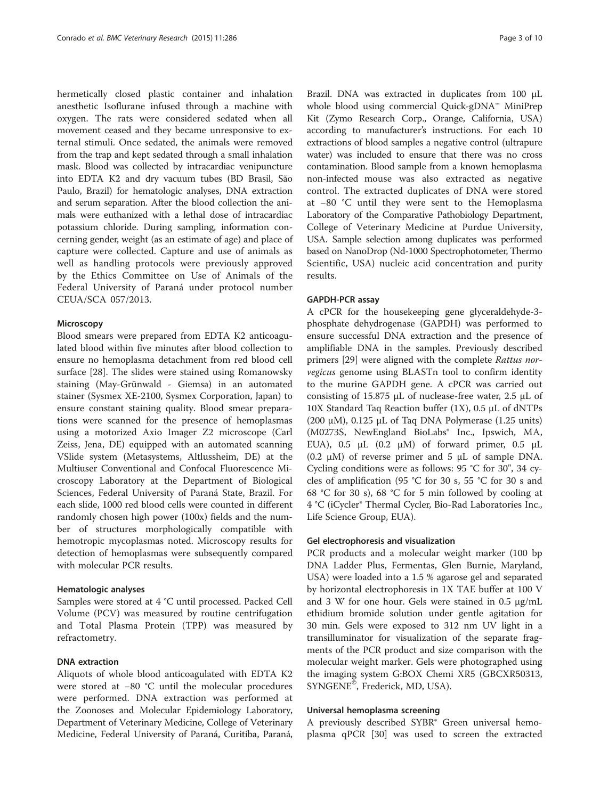hermetically closed plastic container and inhalation anesthetic Isoflurane infused through a machine with oxygen. The rats were considered sedated when all movement ceased and they became unresponsive to external stimuli. Once sedated, the animals were removed from the trap and kept sedated through a small inhalation mask. Blood was collected by intracardiac venipuncture into EDTA K2 and dry vacuum tubes (BD Brasil, São Paulo, Brazil) for hematologic analyses, DNA extraction and serum separation. After the blood collection the animals were euthanized with a lethal dose of intracardiac potassium chloride. During sampling, information concerning gender, weight (as an estimate of age) and place of capture were collected. Capture and use of animals as well as handling protocols were previously approved by the Ethics Committee on Use of Animals of the Federal University of Paraná under protocol number CEUA/SCA 057/2013.

#### Microscopy

Blood smears were prepared from EDTA K2 anticoagulated blood within five minutes after blood collection to ensure no hemoplasma detachment from red blood cell surface [\[28\]](#page-8-0). The slides were stained using Romanowsky staining (May-Grünwald - Giemsa) in an automated stainer (Sysmex XE-2100, Sysmex Corporation, Japan) to ensure constant staining quality. Blood smear preparations were scanned for the presence of hemoplasmas using a motorized Axio Imager Z2 microscope (Carl Zeiss, Jena, DE) equipped with an automated scanning VSlide system (Metasystems, Altlussheim, DE) at the Multiuser Conventional and Confocal Fluorescence Microscopy Laboratory at the Department of Biological Sciences, Federal University of Paraná State, Brazil. For each slide, 1000 red blood cells were counted in different randomly chosen high power (100x) fields and the number of structures morphologically compatible with hemotropic mycoplasmas noted. Microscopy results for detection of hemoplasmas were subsequently compared with molecular PCR results.

## Hematologic analyses

Samples were stored at 4 °C until processed. Packed Cell Volume (PCV) was measured by routine centrifugation and Total Plasma Protein (TPP) was measured by refractometry.

## DNA extraction

Aliquots of whole blood anticoagulated with EDTA K2 were stored at −80 °C until the molecular procedures were performed. DNA extraction was performed at the Zoonoses and Molecular Epidemiology Laboratory, Department of Veterinary Medicine, College of Veterinary Medicine, Federal University of Paraná, Curitiba, Paraná,

Brazil. DNA was extracted in duplicates from 100 μL whole blood using commercial Quick-gDNA™ MiniPrep Kit (Zymo Research Corp., Orange, California, USA) according to manufacturer's instructions. For each 10 extractions of blood samples a negative control (ultrapure water) was included to ensure that there was no cross contamination. Blood sample from a known hemoplasma non-infected mouse was also extracted as negative control. The extracted duplicates of DNA were stored at −80 °C until they were sent to the Hemoplasma Laboratory of the Comparative Pathobiology Department, College of Veterinary Medicine at Purdue University, USA. Sample selection among duplicates was performed based on NanoDrop (Nd-1000 Spectrophotometer, Thermo Scientific, USA) nucleic acid concentration and purity results.

# GAPDH-PCR assay

A cPCR for the housekeeping gene glyceraldehyde-3 phosphate dehydrogenase (GAPDH) was performed to ensure successful DNA extraction and the presence of amplifiable DNA in the samples. Previously described primers [[29](#page-9-0)] were aligned with the complete Rattus norvegicus genome using BLASTn tool to confirm identity to the murine GAPDH gene. A cPCR was carried out consisting of 15.875 μL of nuclease-free water, 2.5 μL of 10X Standard Taq Reaction buffer (1X), 0.5 μL of dNTPs (200 μM),  $0.125$  μL of Taq DNA Polymerase (1.25 units) (M0273S, NewEngland BioLabs® Inc., Ipswich, MA, EUA),  $0.5$   $\mu$ L  $(0.2 \mu)$  of forward primer,  $0.5 \mu$ L (0.2 μM) of reverse primer and 5 μL of sample DNA. Cycling conditions were as follows: 95 °C for 30", 34 cycles of amplification (95 °C for 30 s, 55 °C for 30 s and 68 °C for 30 s), 68 °C for 5 min followed by cooling at 4 °C (iCycler® Thermal Cycler, Bio-Rad Laboratories Inc., Life Science Group, EUA).

#### Gel electrophoresis and visualization

PCR products and a molecular weight marker (100 bp DNA Ladder Plus, Fermentas, Glen Burnie, Maryland, USA) were loaded into a 1.5 % agarose gel and separated by horizontal electrophoresis in 1X TAE buffer at 100 V and 3 W for one hour. Gels were stained in 0.5 μg/mL ethidium bromide solution under gentle agitation for 30 min. Gels were exposed to 312 nm UV light in a transilluminator for visualization of the separate fragments of the PCR product and size comparison with the molecular weight marker. Gels were photographed using the imaging system G:BOX Chemi XR5 (GBCXR50313, SYNGENE©, Frederick, MD, USA).

### Universal hemoplasma screening

A previously described SYBR® Green universal hemoplasma qPCR [[30\]](#page-9-0) was used to screen the extracted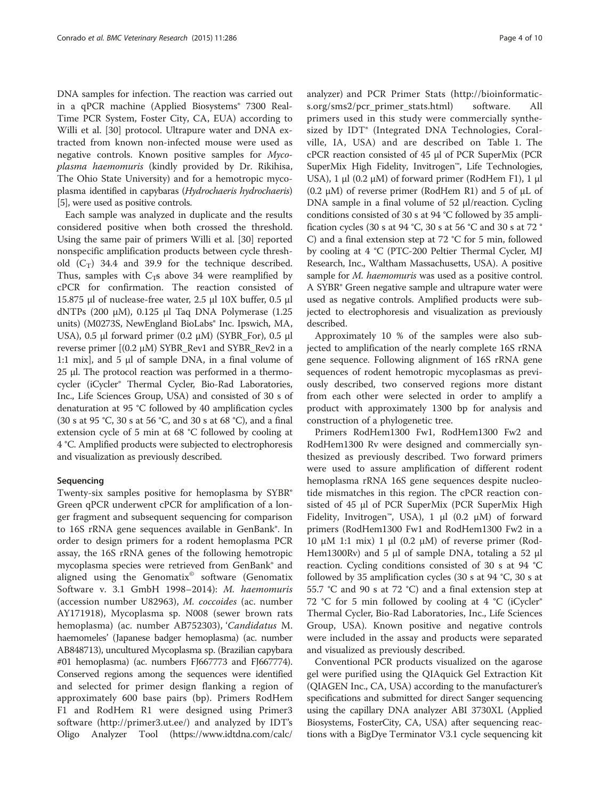DNA samples for infection. The reaction was carried out in a qPCR machine (Applied Biosystems® 7300 Real-Time PCR System, Foster City, CA, EUA) according to Willi et al. [[30](#page-9-0)] protocol. Ultrapure water and DNA extracted from known non-infected mouse were used as negative controls. Known positive samples for Mycoplasma haemomuris (kindly provided by Dr. Rikihisa, The Ohio State University) and for a hemotropic mycoplasma identified in capybaras (Hydrochaeris hydrochaeris) [[5](#page-8-0)], were used as positive controls.

Each sample was analyzed in duplicate and the results considered positive when both crossed the threshold. Using the same pair of primers Willi et al. [\[30](#page-9-0)] reported nonspecific amplification products between cycle threshold  $(C_T)$  34.4 and 39.9 for the technique described. Thus, samples with  $C_Ts$  above 34 were reamplified by cPCR for confirmation. The reaction consisted of 15.875 μl of nuclease-free water, 2.5 μl 10X buffer, 0.5 μl dNTPs (200 μM), 0.125 μl Taq DNA Polymerase (1.25 units) (M0273S, NewEngland BioLabs® Inc. Ipswich, MA, USA), 0.5 μl forward primer (0.2 μM) (SYBR\_For), 0.5 μl reverse primer  $[(0.2 \mu M) SYBR$  Rev1 and SYBR Rev2 in a 1:1 mix], and 5 μl of sample DNA, in a final volume of 25 μl. The protocol reaction was performed in a thermocycler (iCycler® Thermal Cycler, Bio-Rad Laboratories, Inc., Life Sciences Group, USA) and consisted of 30 s of denaturation at 95 °C followed by 40 amplification cycles (30 s at 95 °C, 30 s at 56 °C, and 30 s at 68 °C), and a final extension cycle of 5 min at 68 °C followed by cooling at 4 °C. Amplified products were subjected to electrophoresis and visualization as previously described.

# Sequencing

Twenty-six samples positive for hemoplasma by SYBR® Green qPCR underwent cPCR for amplification of a longer fragment and subsequent sequencing for comparison to 16S rRNA gene sequences available in GenBank®. In order to design primers for a rodent hemoplasma PCR assay, the 16S rRNA genes of the following hemotropic mycoplasma species were retrieved from GenBank® and aligned using the Genomatix<sup>®</sup> software (Genomatix Software v. 3.1 GmbH 1998–2014): M. haemomuris (accession number U82963), M. coccoides (ac. number AY171918), Mycoplasma sp. N008 (sewer brown rats hemoplasma) (ac. number AB752303), 'Candidatus M. haemomeles' (Japanese badger hemoplasma) (ac. number AB848713), uncultured Mycoplasma sp. (Brazilian capybara #01 hemoplasma) (ac. numbers FJ667773 and FJ667774). Conserved regions among the sequences were identified and selected for primer design flanking a region of approximately 600 base pairs (bp). Primers RodHem F1 and RodHem R1 were designed using Primer3 software (<http://primer3.ut.ee/>) and analyzed by IDT's Oligo Analyzer Tool [\(https://www.idtdna.com/calc/](https://www.idtdna.com/calc/analyzer)

[analyzer\)](https://www.idtdna.com/calc/analyzer) and PCR Primer Stats ([http://bioinformatic](http://bioinformatics.org/sms2/pcr_primer_stats.html)[s.org/sms2/pcr\\_primer\\_stats.html\)](http://bioinformatics.org/sms2/pcr_primer_stats.html) software. All primers used in this study were commercially synthesized by IDT<sup>®</sup> (Integrated DNA Technologies, Coralville, IA, USA) and are described on Table [1.](#page-4-0) The cPCR reaction consisted of 45 μl of PCR SuperMix (PCR SuperMix High Fidelity, Invitrogen™, Life Technologies, USA),  $1 \mu$ l (0.2  $\mu$ M) of forward primer (RodHem F1),  $1 \mu$ l (0.2 μM) of reverse primer (RodHem R1) and 5 of μL of DNA sample in a final volume of 52 μl/reaction. Cycling conditions consisted of 30 s at 94 °C followed by 35 amplification cycles (30 s at 94 °C, 30 s at 56 °C and 30 s at 72 ° C) and a final extension step at 72 °C for 5 min, followed by cooling at 4 °C (PTC-200 Peltier Thermal Cycler, MJ Research, Inc., Waltham Massachusetts, USA). A positive sample for *M. haemomuris* was used as a positive control. A SYBR® Green negative sample and ultrapure water were used as negative controls. Amplified products were subjected to electrophoresis and visualization as previously described.

Approximately 10 % of the samples were also subjected to amplification of the nearly complete 16S rRNA gene sequence. Following alignment of 16S rRNA gene sequences of rodent hemotropic mycoplasmas as previously described, two conserved regions more distant from each other were selected in order to amplify a product with approximately 1300 bp for analysis and construction of a phylogenetic tree.

Primers RodHem1300 Fw1, RodHem1300 Fw2 and RodHem1300 Rv were designed and commercially synthesized as previously described. Two forward primers were used to assure amplification of different rodent hemoplasma rRNA 16S gene sequences despite nucleotide mismatches in this region. The cPCR reaction consisted of 45 μl of PCR SuperMix (PCR SuperMix High Fidelity, Invitrogen<sup>™</sup>, USA), 1  $\mu$ l (0.2  $\mu$ M) of forward primers (RodHem1300 Fw1 and RodHem1300 Fw2 in a 10 μM 1:1 mix) 1 μl (0.2 μM) of reverse primer (Rod-Hem1300Rv) and 5 μl of sample DNA, totaling a 52 μl reaction. Cycling conditions consisted of 30 s at 94 °C followed by 35 amplification cycles (30 s at 94 °C, 30 s at 55.7 °C and 90 s at 72 °C) and a final extension step at 72 °C for 5 min followed by cooling at 4 °C (iCycler® Thermal Cycler, Bio-Rad Laboratories, Inc., Life Sciences Group, USA). Known positive and negative controls were included in the assay and products were separated and visualized as previously described.

Conventional PCR products visualized on the agarose gel were purified using the QIAquick Gel Extraction Kit (QIAGEN Inc., CA, USA) according to the manufacturer's specifications and submitted for direct Sanger sequencing using the capillary DNA analyzer ABI 3730XL (Applied Biosystems, FosterCity, CA, USA) after sequencing reactions with a BigDye Terminator V3.1 cycle sequencing kit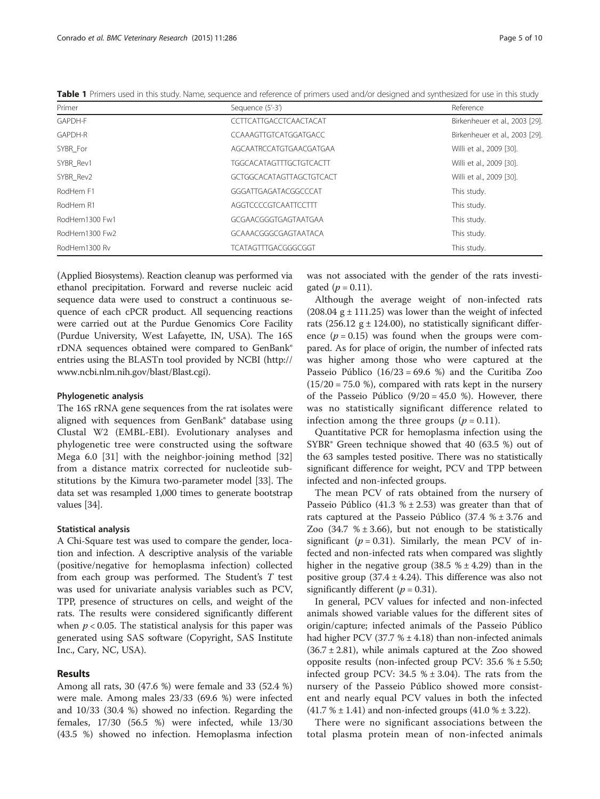| Primer         | Sequence (5'-3')               | Reference                      |
|----------------|--------------------------------|--------------------------------|
| GAPDH-F        | CCTTCATTGACCTCAACTACAT         | Birkenheuer et al., 2003 [29]. |
| GAPDH-R        | CCAAAGTTGTCATGGATGACC          | Birkenheuer et al., 2003 [29]. |
| SYBR For       | AGCAATRCCATGTGAACGATGAA        | Willi et al., 2009 [30].       |
| SYBR Rev1      | <b>TGGCACATAGTTTGCTGTCACTT</b> | Willi et al., 2009 [30].       |
| SYBR Rev2      | GCTGGCACATAGTTAGCTGTCACT       | Willi et al., 2009 [30].       |
| RodHem F1      | GGGATTGAGATACGGCCCAT           | This study.                    |
| RodHem R1      | AGGTCCCCGTCAATTCCTTT           | This study.                    |
| RodHem1300 Fw1 | GCGAACGGGTGAGTAATGAA           | This study.                    |
| RodHem1300 Fw2 | GCAAACGGGCGAGTAATACA           | This study.                    |
| RodHem1300 Rv  | TCATAGTTTGACGGGCGGT            | This study.                    |

<span id="page-4-0"></span>Table 1 Primers used in this study. Name, sequence and reference of primers used and/or designed and synthesized for use in this study

(Applied Biosystems). Reaction cleanup was performed via ethanol precipitation. Forward and reverse nucleic acid sequence data were used to construct a continuous sequence of each cPCR product. All sequencing reactions were carried out at the Purdue Genomics Core Facility (Purdue University, West Lafayette, IN, USA). The 16S rDNA sequences obtained were compared to GenBank® entries using the BLASTn tool provided by NCBI ([http://](http://www.ncbi.nlm.nih.gov/blast/Blast.cgi) [www.ncbi.nlm.nih.gov/blast/Blast.cgi\)](http://www.ncbi.nlm.nih.gov/blast/Blast.cgi).

#### Phylogenetic analysis

The 16S rRNA gene sequences from the rat isolates were aligned with sequences from GenBank® database using Clustal W2 (EMBL-EBI). Evolutionary analyses and phylogenetic tree were constructed using the software Mega 6.0 [[31\]](#page-9-0) with the neighbor-joining method [\[32](#page-9-0)] from a distance matrix corrected for nucleotide substitutions by the Kimura two-parameter model [\[33](#page-9-0)]. The data set was resampled 1,000 times to generate bootstrap values [[34](#page-9-0)].

## Statistical analysis

A Chi-Square test was used to compare the gender, location and infection. A descriptive analysis of the variable (positive/negative for hemoplasma infection) collected from each group was performed. The Student's T test was used for univariate analysis variables such as PCV, TPP, presence of structures on cells, and weight of the rats. The results were considered significantly different when  $p < 0.05$ . The statistical analysis for this paper was generated using SAS software (Copyright, SAS Institute Inc., Cary, NC, USA).

# Results

Among all rats, 30 (47.6 %) were female and 33 (52.4 %) were male. Among males 23/33 (69.6 %) were infected and 10/33 (30.4 %) showed no infection. Regarding the females, 17/30 (56.5 %) were infected, while 13/30 (43.5 %) showed no infection. Hemoplasma infection was not associated with the gender of the rats investigated  $(p = 0.11)$ .

Although the average weight of non-infected rats (208.04  $g \pm 111.25$ ) was lower than the weight of infected rats (256.12  $g \pm 124.00$ ), no statistically significant difference  $(p = 0.15)$  was found when the groups were compared. As for place of origin, the number of infected rats was higher among those who were captured at the Passeio Público (16/23 = 69.6 %) and the Curitiba Zoo  $(15/20 = 75.0 \%)$ , compared with rats kept in the nursery of the Passeio Público  $(9/20 = 45.0 \%)$ . However, there was no statistically significant difference related to infection among the three groups  $(p = 0.11)$ .

Quantitative PCR for hemoplasma infection using the SYBR® Green technique showed that 40 (63.5 %) out of the 63 samples tested positive. There was no statistically significant difference for weight, PCV and TPP between infected and non-infected groups.

The mean PCV of rats obtained from the nursery of Passeio Público (41.3 %  $\pm$  2.53) was greater than that of rats captured at the Passeio Público (37.4 % ± 3.76 and Zoo  $(34.7 \, % \pm 3.66)$ , but not enough to be statistically significant ( $p = 0.31$ ). Similarly, the mean PCV of infected and non-infected rats when compared was slightly higher in the negative group  $(38.5 % \pm 4.29)$  than in the positive group  $(37.4 \pm 4.24)$ . This difference was also not significantly different ( $p = 0.31$ ).

In general, PCV values for infected and non-infected animals showed variable values for the different sites of origin/capture; infected animals of the Passeio Público had higher PCV (37.7  $% \pm 4.18$ ) than non-infected animals  $(36.7 \pm 2.81)$ , while animals captured at the Zoo showed opposite results (non-infected group PCV:  $35.6 \% \pm 5.50$ ; infected group PCV:  $34.5 % \pm 3.04$ ). The rats from the nursery of the Passeio Público showed more consistent and nearly equal PCV values in both the infected  $(41.7 % ± 1.41)$  and non-infected groups  $(41.0 % ± 3.22)$ .

There were no significant associations between the total plasma protein mean of non-infected animals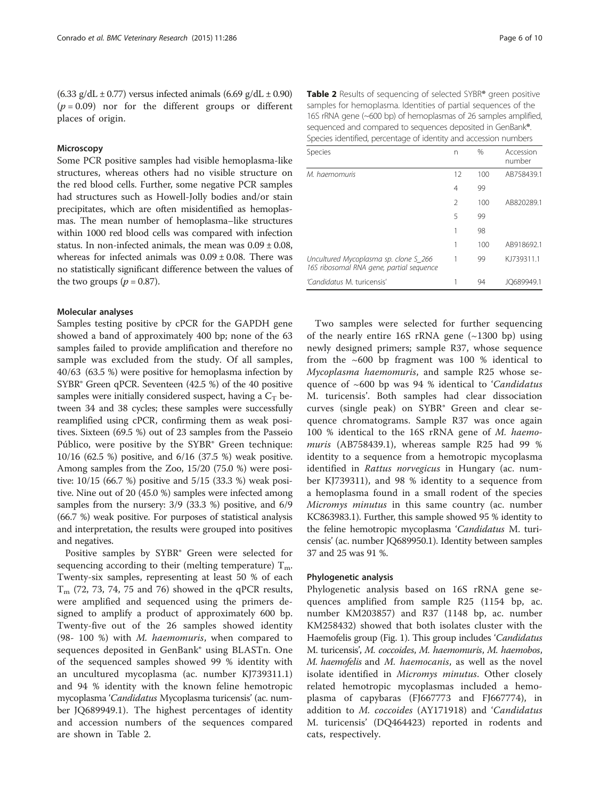$(6.33 \text{ g}/dL \pm 0.77)$  versus infected animals  $(6.69 \text{ g}/dL \pm 0.90)$  $(p = 0.09)$  nor for the different groups or different places of origin.

# Microscopy

Some PCR positive samples had visible hemoplasma-like structures, whereas others had no visible structure on the red blood cells. Further, some negative PCR samples had structures such as Howell-Jolly bodies and/or stain precipitates, which are often misidentified as hemoplasmas. The mean number of hemoplasma–like structures within 1000 red blood cells was compared with infection status. In non-infected animals, the mean was  $0.09 \pm 0.08$ , whereas for infected animals was  $0.09 \pm 0.08$ . There was no statistically significant difference between the values of the two groups ( $p = 0.87$ ).

#### Molecular analyses

Samples testing positive by cPCR for the GAPDH gene showed a band of approximately 400 bp; none of the 63 samples failed to provide amplification and therefore no sample was excluded from the study. Of all samples, 40/63 (63.5 %) were positive for hemoplasma infection by SYBR® Green qPCR. Seventeen (42.5 %) of the 40 positive samples were initially considered suspect, having a  $C_T$  between 34 and 38 cycles; these samples were successfully reamplified using cPCR, confirming them as weak positives. Sixteen (69.5 %) out of 23 samples from the Passeio Público, were positive by the SYBR® Green technique: 10/16 (62.5 %) positive, and 6/16 (37.5 %) weak positive. Among samples from the Zoo, 15/20 (75.0 %) were positive: 10/15 (66.7 %) positive and 5/15 (33.3 %) weak positive. Nine out of 20 (45.0 %) samples were infected among samples from the nursery: 3/9 (33.3 %) positive, and 6/9 (66.7 %) weak positive. For purposes of statistical analysis and interpretation, the results were grouped into positives and negatives.

Positive samples by SYBR® Green were selected for sequencing according to their (melting temperature)  $T_m$ . Twenty-six samples, representing at least 50 % of each  $T_m$  (72, 73, 74, 75 and 76) showed in the qPCR results, were amplified and sequenced using the primers designed to amplify a product of approximately 600 bp. Twenty-five out of the 26 samples showed identity (98- 100 %) with M. haemomuris, when compared to sequences deposited in GenBank® using BLASTn. One of the sequenced samples showed 99 % identity with an uncultured mycoplasma (ac. number KJ739311.1) and 94 % identity with the known feline hemotropic mycoplasma 'Candidatus Mycoplasma turicensis' (ac. number JQ689949.1). The highest percentages of identity and accession numbers of the sequences compared are shown in Table 2.

| <b>Table 2</b> Results of sequencing of selected SYBR® green positive |
|-----------------------------------------------------------------------|
| samples for hemoplasma. Identities of partial sequences of the        |
| 16S rRNA gene (~600 bp) of hemoplasmas of 26 samples amplified,       |
| sequenced and compared to sequences deposited in GenBank®.            |
| Species identified, percentage of identity and accession numbers      |

| <b>Species</b>                                                                    | n             | %   | Accession<br>number |
|-----------------------------------------------------------------------------------|---------------|-----|---------------------|
| M. haemomuris                                                                     | 12            | 100 | AB758439.1          |
|                                                                                   | 4             | 99  |                     |
|                                                                                   | $\mathcal{P}$ | 100 | AB820289.1          |
|                                                                                   | 5             | 99  |                     |
|                                                                                   | 1             | 98  |                     |
|                                                                                   |               | 100 | AB918692.1          |
| Uncultured Mycoplasma sp. clone S_266<br>16S ribosomal RNA gene, partial sequence | 1             | 99  | KJ739311.1          |
| 'Candidatus M. turicensis'                                                        |               | 94  | JO689949.1          |

Two samples were selected for further sequencing of the nearly entire 16S rRNA gene  $(\sim 1300$  bp) using newly designed primers; sample R37, whose sequence from the  $~600$  bp fragment was 100 % identical to Mycoplasma haemomuris, and sample R25 whose sequence of ~600 bp was 94 % identical to 'Candidatus M. turicensis'. Both samples had clear dissociation curves (single peak) on SYBR® Green and clear sequence chromatograms. Sample R37 was once again 100 % identical to the 16S rRNA gene of M. haemomuris (AB758439.1), whereas sample R25 had 99 % identity to a sequence from a hemotropic mycoplasma identified in Rattus norvegicus in Hungary (ac. number KJ739311), and 98 % identity to a sequence from a hemoplasma found in a small rodent of the species Micromys minutus in this same country (ac. number KC863983.1). Further, this sample showed 95 % identity to the feline hemotropic mycoplasma 'Candidatus M. turicensis' (ac. number JQ689950.1). Identity between samples 37 and 25 was 91 %.

#### Phylogenetic analysis

Phylogenetic analysis based on 16S rRNA gene sequences amplified from sample R25 (1154 bp, ac. number KM203857) and R37 (1148 bp, ac. number KM258432) showed that both isolates cluster with the Haemofelis group (Fig. [1\)](#page-6-0). This group includes 'Candidatus M. turicensis', M. coccoides, M. haemomuris, M. haemobos, M. haemofelis and M. haemocanis, as well as the novel isolate identified in Micromys minutus. Other closely related hemotropic mycoplasmas included a hemoplasma of capybaras (FJ667773 and FJ667774), in addition to M. coccoides (AY171918) and 'Candidatus M. turicensis' (DQ464423) reported in rodents and cats, respectively.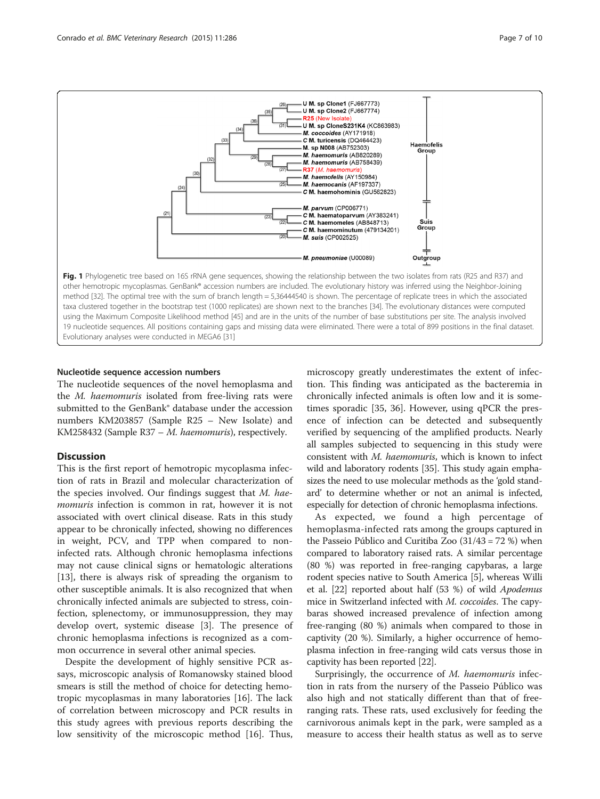<span id="page-6-0"></span>

# Nucleotide sequence accession numbers

The nucleotide sequences of the novel hemoplasma and the M. haemomuris isolated from free-living rats were submitted to the GenBank® database under the accession numbers KM203857 (Sample R25 – New Isolate) and KM258432 (Sample R37 – M. haemomuris), respectively.

# Discussion

This is the first report of hemotropic mycoplasma infection of rats in Brazil and molecular characterization of the species involved. Our findings suggest that  $M$ . haemomuris infection is common in rat, however it is not associated with overt clinical disease. Rats in this study appear to be chronically infected, showing no differences in weight, PCV, and TPP when compared to noninfected rats. Although chronic hemoplasma infections may not cause clinical signs or hematologic alterations [[13\]](#page-8-0), there is always risk of spreading the organism to other susceptible animals. It is also recognized that when chronically infected animals are subjected to stress, coinfection, splenectomy, or immunosuppression, they may develop overt, systemic disease [\[3](#page-8-0)]. The presence of chronic hemoplasma infections is recognized as a common occurrence in several other animal species.

Despite the development of highly sensitive PCR assays, microscopic analysis of Romanowsky stained blood smears is still the method of choice for detecting hemotropic mycoplasmas in many laboratories [[16](#page-8-0)]. The lack of correlation between microscopy and PCR results in this study agrees with previous reports describing the low sensitivity of the microscopic method [\[16\]](#page-8-0). Thus, microscopy greatly underestimates the extent of infection. This finding was anticipated as the bacteremia in chronically infected animals is often low and it is sometimes sporadic [[35, 36](#page-9-0)]. However, using qPCR the presence of infection can be detected and subsequently verified by sequencing of the amplified products. Nearly all samples subjected to sequencing in this study were consistent with M. haemomuris, which is known to infect wild and laboratory rodents [[35\]](#page-9-0). This study again emphasizes the need to use molecular methods as the 'gold standard' to determine whether or not an animal is infected, especially for detection of chronic hemoplasma infections.

As expected, we found a high percentage of hemoplasma-infected rats among the groups captured in the Passeio Público and Curitiba Zoo (31/43 = 72 %) when compared to laboratory raised rats. A similar percentage (80 %) was reported in free-ranging capybaras, a large rodent species native to South America [\[5](#page-8-0)], whereas Willi et al. [\[22\]](#page-8-0) reported about half (53 %) of wild Apodemus mice in Switzerland infected with M. coccoides. The capybaras showed increased prevalence of infection among free-ranging (80 %) animals when compared to those in captivity (20 %). Similarly, a higher occurrence of hemoplasma infection in free-ranging wild cats versus those in captivity has been reported [\[22](#page-8-0)].

Surprisingly, the occurrence of M. haemomuris infection in rats from the nursery of the Passeio Público was also high and not statically different than that of freeranging rats. These rats, used exclusively for feeding the carnivorous animals kept in the park, were sampled as a measure to access their health status as well as to serve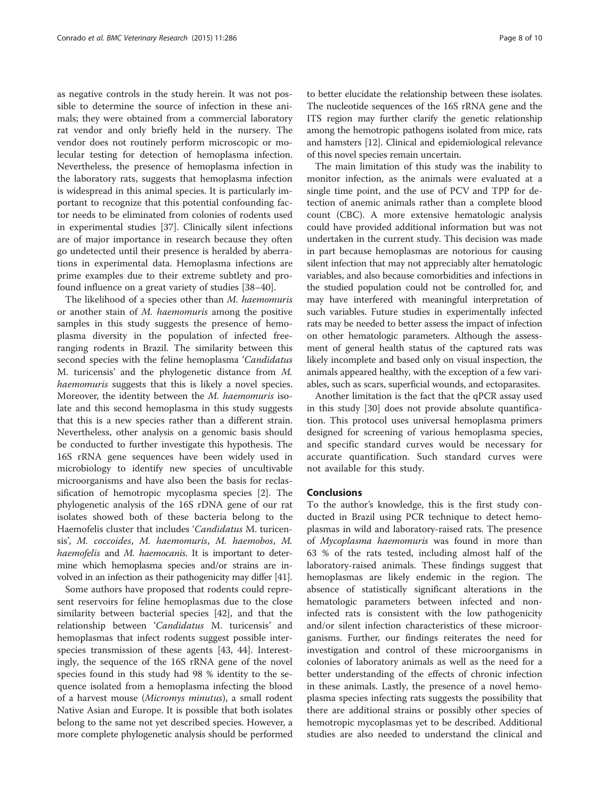as negative controls in the study herein. It was not possible to determine the source of infection in these animals; they were obtained from a commercial laboratory rat vendor and only briefly held in the nursery. The vendor does not routinely perform microscopic or molecular testing for detection of hemoplasma infection. Nevertheless, the presence of hemoplasma infection in the laboratory rats, suggests that hemoplasma infection is widespread in this animal species. It is particularly important to recognize that this potential confounding factor needs to be eliminated from colonies of rodents used in experimental studies [\[37](#page-9-0)]. Clinically silent infections are of major importance in research because they often go undetected until their presence is heralded by aberrations in experimental data. Hemoplasma infections are prime examples due to their extreme subtlety and profound influence on a great variety of studies [\[38](#page-9-0)–[40\]](#page-9-0).

The likelihood of a species other than M. haemomuris or another stain of M. haemomuris among the positive samples in this study suggests the presence of hemoplasma diversity in the population of infected freeranging rodents in Brazil. The similarity between this second species with the feline hemoplasma 'Candidatus M. turicensis' and the phylogenetic distance from M. haemomuris suggests that this is likely a novel species. Moreover, the identity between the M. haemomuris isolate and this second hemoplasma in this study suggests that this is a new species rather than a different strain. Nevertheless, other analysis on a genomic basis should be conducted to further investigate this hypothesis. The 16S rRNA gene sequences have been widely used in microbiology to identify new species of uncultivable microorganisms and have also been the basis for reclassification of hemotropic mycoplasma species [[2\]](#page-8-0). The phylogenetic analysis of the 16S rDNA gene of our rat isolates showed both of these bacteria belong to the Haemofelis cluster that includes 'Candidatus M. turicensis', M. coccoides, M. haemomuris, M. haemobos, M. haemofelis and M. haemocanis. It is important to determine which hemoplasma species and/or strains are involved in an infection as their pathogenicity may differ [[41](#page-9-0)].

Some authors have proposed that rodents could represent reservoirs for feline hemoplasmas due to the close similarity between bacterial species [[42\]](#page-9-0), and that the relationship between 'Candidatus M. turicensis' and hemoplasmas that infect rodents suggest possible interspecies transmission of these agents [\[43](#page-9-0), [44\]](#page-9-0). Interestingly, the sequence of the 16S rRNA gene of the novel species found in this study had 98 % identity to the sequence isolated from a hemoplasma infecting the blood of a harvest mouse (Micromys minutus), a small rodent Native Asian and Europe. It is possible that both isolates belong to the same not yet described species. However, a more complete phylogenetic analysis should be performed

to better elucidate the relationship between these isolates. The nucleotide sequences of the 16S rRNA gene and the ITS region may further clarify the genetic relationship among the hemotropic pathogens isolated from mice, rats and hamsters [\[12\]](#page-8-0). Clinical and epidemiological relevance of this novel species remain uncertain.

The main limitation of this study was the inability to monitor infection, as the animals were evaluated at a single time point, and the use of PCV and TPP for detection of anemic animals rather than a complete blood count (CBC). A more extensive hematologic analysis could have provided additional information but was not undertaken in the current study. This decision was made in part because hemoplasmas are notorious for causing silent infection that may not appreciably alter hematologic variables, and also because comorbidities and infections in the studied population could not be controlled for, and may have interfered with meaningful interpretation of such variables. Future studies in experimentally infected rats may be needed to better assess the impact of infection on other hematologic parameters. Although the assessment of general health status of the captured rats was likely incomplete and based only on visual inspection, the animals appeared healthy, with the exception of a few variables, such as scars, superficial wounds, and ectoparasites.

Another limitation is the fact that the qPCR assay used in this study [[30\]](#page-9-0) does not provide absolute quantification. This protocol uses universal hemoplasma primers designed for screening of various hemoplasma species, and specific standard curves would be necessary for accurate quantification. Such standard curves were not available for this study.

# Conclusions

To the author's knowledge, this is the first study conducted in Brazil using PCR technique to detect hemoplasmas in wild and laboratory-raised rats. The presence of Mycoplasma haemomuris was found in more than 63 % of the rats tested, including almost half of the laboratory-raised animals. These findings suggest that hemoplasmas are likely endemic in the region. The absence of statistically significant alterations in the hematologic parameters between infected and noninfected rats is consistent with the low pathogenicity and/or silent infection characteristics of these microorganisms. Further, our findings reiterates the need for investigation and control of these microorganisms in colonies of laboratory animals as well as the need for a better understanding of the effects of chronic infection in these animals. Lastly, the presence of a novel hemoplasma species infecting rats suggests the possibility that there are additional strains or possibly other species of hemotropic mycoplasmas yet to be described. Additional studies are also needed to understand the clinical and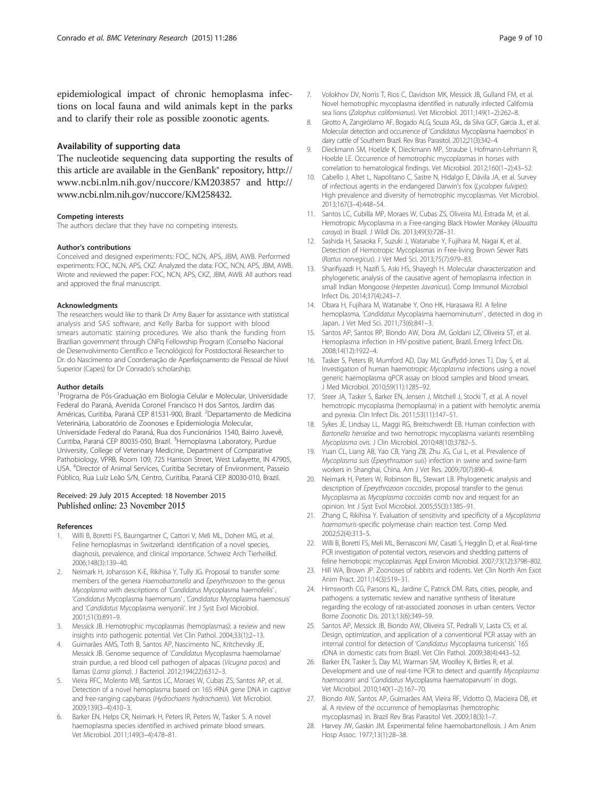<span id="page-8-0"></span>epidemiological impact of chronic hemoplasma infections on local fauna and wild animals kept in the parks and to clarify their role as possible zoonotic agents.

## Availability of supporting data

The nucleotide sequencing data supporting the results of this article are available in the GenBank® repository, [http://](http://www.ncbi.nlm.nih.gov/nuccore/KM203857) [www.ncbi.nlm.nih.gov/nuccore/KM203857](http://www.ncbi.nlm.nih.gov/nuccore/KM203857) and [http://](http://www.ncbi.nlm.nih.gov/nuccore/KM258432) [www.ncbi.nlm.nih.gov/nuccore/KM258432](http://www.ncbi.nlm.nih.gov/nuccore/KM258432).

#### Competing interests

The authors declare that they have no competing interests.

#### Author's contributions

Conceived and designed experiments: FOC, NCN, APS, JBM, AWB. Performed experiments: FOC, NCN, APS, CKZ. Analyzed the data: FOC, NCN, APS, JBM, AWB. Wrote and reviewed the paper: FOC, NCN, APS, CKZ, JBM, AWB. All authors read and approved the final manuscript.

#### Acknowledgments

The researchers would like to thank Dr Amy Bauer for assistance with statistical analysis and SAS software, and Kelly Barba for support with blood smears automatic staining procedures. We also thank the funding from Brazilian government through CNPq Fellowship Program (Conselho Nacional de Desenvolvimento Científico e Tecnológico) for Postdoctoral Researcher to Dr. do Nascimento and Coordenação de Aperfeiçoamento de Pessoal de Nível Superior (Capes) for Dr Conrado's scholarship.

#### Author details

<sup>1</sup> Programa de Pós-Graduação em Biologia Celular e Molecular, Universidade Federal do Paraná, Avenida Coronel Francisco H dos Santos, Jardim das Américas, Curitiba, Paraná CEP 81531-900, Brazil. <sup>2</sup>Departamento de Medicina Veterinária, Laboratório de Zoonoses e Epidemiologia Molecular, Universidade Federal do Paraná, Rua dos Funcionários 1540, Bairro Juvevê, Curitiba, Paraná CEP 80035-050, Brazil. <sup>3</sup>Hemoplasma Laboratory, Purdue University, College of Veterinary Medicine, Department of Comparative Pathobiology, VPRB, Room 109, 725 Harrison Street, West Lafayette, IN 47905, USA. <sup>4</sup> Director of Animal Services, Curitiba Secretary of Environment, Passeio Público, Rua Luíz Leão S/N, Centro, Curitiba, Paraná CEP 80030-010, Brazil.

#### Received: 29 July 2015 Accepted: 18 November 2015 Published online: 23 November 2015

#### References

- 1. Willi B, Boretti FS, Baumgartner C, Cattori V, Meli ML, Doherr MG, et al. Feline hemoplasmas in Switzerland: identification of a novel species, diagnosis, prevalence, and clinical importance. Schweiz Arch Tierheilkd. 2006;148(3):139–40.
- 2. Neimark H, Johansson K-E, Rikihisa Y, Tully JG. Proposal to transfer some members of the genera Haemobartonella and Eperythrozoon to the genus Mycoplasma with descriptions of 'Candidatus Mycoplasma haemofelis' , 'Candidatus Mycoplasma haemomuris' , 'Candidatus Mycoplasma haemosuis' and 'Candidatus Mycoplasma wenyonii'. Int J Syst Evol Microbiol. 2001;51(3):891–9.
- 3. Messick JB. Hemotrophic mycoplasmas (hemoplasmas): a review and new insights into pathogenic potential. Vet Clin Pathol. 2004;33(1):2–13.
- 4. Guimarães AMS, Toth B, Santos AP, Nascimento NC, Kritchevsky JE, Messick JB. Genome sequence of 'Candidatus Mycoplasma haemolamae' strain purdue, a red blood cell pathogen of alpacas (Vicugna pacos) and llamas (Lama glama). J Bacteriol. 2012;194(22):6312–3.
- Vieira RFC, Molento MB, Santos LC, Moraes W, Cubas ZS, Santos AP, et al. Detection of a novel hemoplasma based on 16S rRNA gene DNA in captive and free-ranging capybaras (Hydrochaeris hydrochaeris). Vet Microbiol. 2009;139(3–4):410–3.
- 6. Barker EN, Helps CR, Neimark H, Peters IR, Peters W, Tasker S. A novel haemoplasma species identified in archived primate blood smears. Vet Microbiol. 2011;149(3–4):478–81.
- 7. Volokhov DV, Norris T, Rios C, Davidson MK, Messick JB, Gulland FM, et al. Novel hemotrophic mycoplasma identified in naturally infected California sea lions (Zalophus californianus). Vet Microbiol. 2011;149(1–2):262–8.
- Girotto A, Zangirólamo AF, Bogado ALG, Souza ASL, da Silva GCF, Garcia JL, et al. Molecular detection and occurrence of 'Candidatus Mycoplasma haemobos' in dairy cattle of Southern Brazil. Rev Bras Parasitol. 2012;21(3):342–4.
- 9. Dieckmann SM, Hoelzle K, Dieckmann MP, Straube I, Hofmann-Lehmann R, Hoelzle LE. Occurrence of hemotrophic mycoplasmas in horses with correlation to hematological findings. Vet Microbiol. 2012;160(1–2):43–52.
- 10. Cabello J, Altet L, Napolitano C, Sastre N, Hidalgo E, Dávila JA, et al. Survey of infectious agents in the endangered Darwin's fox (Lycalopex fulvipes): High prevalence and diversity of hemotrophic mycoplasmas. Vet Microbiol. 2013;167(3–4):448–54.
- 11. Santos LC, Cubilla MP, Moraes W, Cubas ZS, Oliveira MJ, Estrada M, et al. Hemotropic Mycoplasma in a Free-ranging Black Howler Monkey (Alouatta caraya) in Brazil. J Wildl Dis. 2013;49(3):728–31.
- 12. Sashida H, Sasaoka F, Suzuki J, Watanabe Y, Fujihara M, Nagai K, et al. Detection of Hemotropic Mycoplasmas in Free-living Brown Sewer Rats (Rattus norvegicus). J Vet Med Sci. 2013;75(7):979–83.
- 13. Sharifiyazdi H, Nazifi S, Aski HS, Shayegh H. Molecular characterization and phylogenetic analysis of the causative agent of hemoplasma infection in small Indian Mongoose (Herpestes Javanicus). Comp Immunol Microbiol Infect Dis. 2014;37(4):243–7.
- 14. Obara H, Fujihara M, Watanabe Y, Ono HK, Harasawa RJ. A feline hemoplasma, 'Candidatus Mycoplasma haemominutum' , detected in dog in Japan. J Vet Med Sci. 2011;73(6):841–3.
- 15. Santos AP, Santos RP, Biondo AW, Dora JM, Goldani LZ, Oliveira ST, et al. Hemoplasma infection in HIV-positive patient, Brazil. Emerg Infect Dis. 2008;14(12):1922–4.
- 16. Tasker S, Peters IR, Mumford AD, Day MJ, Gruffydd-Jones TJ, Day S, et al. Investigation of human haemotropic Mycoplasma infections using a novel generic haemoplasma qPCR assay on blood samples and blood smears. J Med Microbiol. 2010;59(11):1285–92.
- 17. Steer JA, Tasker S, Barker EN, Jensen J, Mitchell J, Stocki T, et al. A novel hemotropic mycoplasma (hemoplasma) in a patient with hemolytic anemia and pyrexia. Clin Infect Dis. 2011;53(11):147–51.
- 18. Sykes JE, Lindsay LL, Maggi RG, Breitschwerdt EB. Human coinfection with Bartonella henselae and two hemotropic mycoplasma variants resembling Mycoplasma ovis. J Clin Microbiol. 2010;48(10):3782–5.
- 19. Yuan CL, Liang AB, Yao CB, Yang ZB, Zhu JG, Cui L, et al. Prevalence of Mycoplasma suis (Eperythrozoon suis) infection in swine and swine-farm workers in Shanghai, China. Am J Vet Res. 2009;70(7):890–4.
- 20. Neimark H, Peters W, Robinson BL, Stewart LB. Phylogenetic analysis and description of Eperythrozoon coccoides, proposal transfer to the genus Mycoplasma as Mycoplasma coccoides comb nov and request for an opinion. Int J Syst Evol Microbiol. 2005;55(3):1385–91.
- 21. Zhang C, Rikihisa Y. Evaluation of sensitivity and specificity of a Mycoplasma haemomuris-specific polymerase chain reaction test. Comp Med. 2002;52(4):313–5.
- 22. Willi B, Boretti FS, Meli ML, Bernasconi MV, Casati S, Hegglin D, et al. Real-time PCR investigation of potential vectors, reservoirs and shedding patterns of feline hemotropic mycoplasmas. Appl Environ Microbiol. 2007;73(12):3798–802.
- 23. Hill WA, Brown JP. Zoonoses of rabbits and rodents. Vet Clin North Am Exot Anim Pract. 2011;14(3):519–31.
- 24. Himsworth CG, Parsons KL, Jardine C, Patrick DM. Rats, cities, people, and pathogens: a systematic review and narrative synthesis of literature regarding the ecology of rat-associated zoonoses in urban centers. Vector Borne Zoonotic Dis. 2013;13(6):349–59.
- 25. Santos AP, Messick JB, Biondo AW, Oliveira ST, Pedralli V, Lasta CS, et al. Design, optimization, and application of a conventional PCR assay with an internal control for detection of 'Candidatus Mycoplasma turicensis' 16S rDNA in domestic cats from Brazil. Vet Clin Pathol. 2009;38(4):443–52.
- 26. Barker EN, Tasker S, Day MJ, Warman SM, Woolley K, Birtles R, et al. Development and use of real-time PCR to detect and quantify Mycoplasma haemocanis and 'Candidatus Mycoplasma haematoparvum' in dogs. Vet Microbiol. 2010;140(1–2):167–70.
- 27. Biondo AW, Santos AP, Guimarães AM, Vieira RF, Vidotto O, Macieira DB, et al. A review of the occurrence of hemoplasmas (hemotrophic mycoplasmas) in. Brazil Rev Bras Parasitol Vet. 2009;18(3):1–7.
- 28. Harvey JW, Gaskin JM. Experimental feline haemobartonellosis. J Am Anim Hosp Assoc. 1977;13(1):28–38.